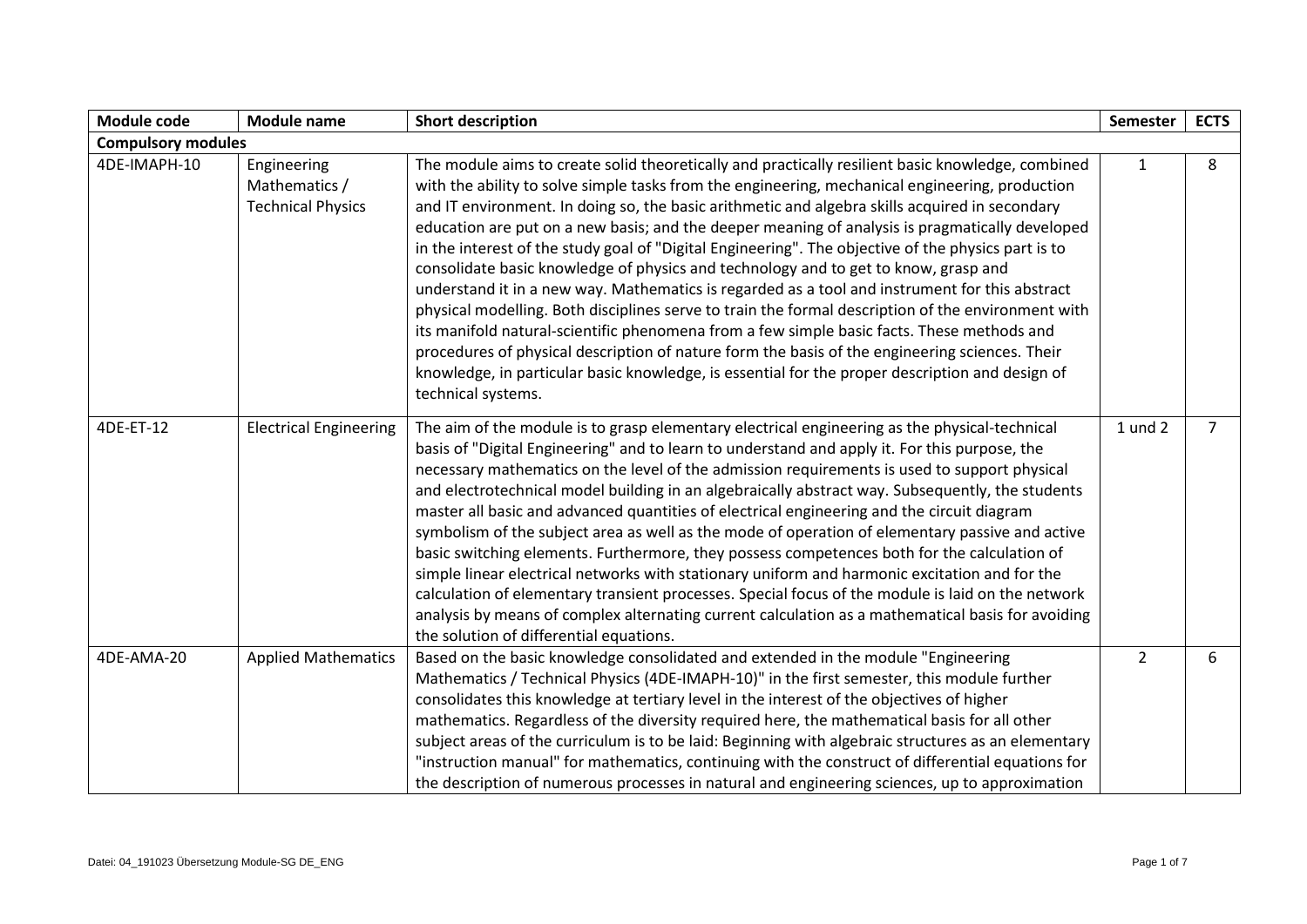| Module code               | <b>Module name</b>                                       | <b>Short description</b>                                                                                                                                                                                                                                                                                                                                                                                                                                                                                                                                                                                                                                                                                                                                                                                                                                                                                                                                                                                                                                                                                                                 | <b>Semester</b> | <b>ECTS</b>    |
|---------------------------|----------------------------------------------------------|------------------------------------------------------------------------------------------------------------------------------------------------------------------------------------------------------------------------------------------------------------------------------------------------------------------------------------------------------------------------------------------------------------------------------------------------------------------------------------------------------------------------------------------------------------------------------------------------------------------------------------------------------------------------------------------------------------------------------------------------------------------------------------------------------------------------------------------------------------------------------------------------------------------------------------------------------------------------------------------------------------------------------------------------------------------------------------------------------------------------------------------|-----------------|----------------|
| <b>Compulsory modules</b> |                                                          |                                                                                                                                                                                                                                                                                                                                                                                                                                                                                                                                                                                                                                                                                                                                                                                                                                                                                                                                                                                                                                                                                                                                          |                 |                |
| 4DE-IMAPH-10              | Engineering<br>Mathematics /<br><b>Technical Physics</b> | The module aims to create solid theoretically and practically resilient basic knowledge, combined<br>with the ability to solve simple tasks from the engineering, mechanical engineering, production<br>and IT environment. In doing so, the basic arithmetic and algebra skills acquired in secondary<br>education are put on a new basis; and the deeper meaning of analysis is pragmatically developed<br>in the interest of the study goal of "Digital Engineering". The objective of the physics part is to<br>consolidate basic knowledge of physics and technology and to get to know, grasp and<br>understand it in a new way. Mathematics is regarded as a tool and instrument for this abstract<br>physical modelling. Both disciplines serve to train the formal description of the environment with<br>its manifold natural-scientific phenomena from a few simple basic facts. These methods and<br>procedures of physical description of nature form the basis of the engineering sciences. Their<br>knowledge, in particular basic knowledge, is essential for the proper description and design of<br>technical systems. | $\mathbf{1}$    | 8              |
| 4DE-ET-12                 | <b>Electrical Engineering</b>                            | The aim of the module is to grasp elementary electrical engineering as the physical-technical<br>basis of "Digital Engineering" and to learn to understand and apply it. For this purpose, the<br>necessary mathematics on the level of the admission requirements is used to support physical<br>and electrotechnical model building in an algebraically abstract way. Subsequently, the students<br>master all basic and advanced quantities of electrical engineering and the circuit diagram<br>symbolism of the subject area as well as the mode of operation of elementary passive and active<br>basic switching elements. Furthermore, they possess competences both for the calculation of<br>simple linear electrical networks with stationary uniform and harmonic excitation and for the<br>calculation of elementary transient processes. Special focus of the module is laid on the network<br>analysis by means of complex alternating current calculation as a mathematical basis for avoiding<br>the solution of differential equations.                                                                                 | 1 und 2         | $\overline{7}$ |
| 4DE-AMA-20                | <b>Applied Mathematics</b>                               | Based on the basic knowledge consolidated and extended in the module "Engineering<br>Mathematics / Technical Physics (4DE-IMAPH-10)" in the first semester, this module further<br>consolidates this knowledge at tertiary level in the interest of the objectives of higher<br>mathematics. Regardless of the diversity required here, the mathematical basis for all other<br>subject areas of the curriculum is to be laid: Beginning with algebraic structures as an elementary<br>"instruction manual" for mathematics, continuing with the construct of differential equations for<br>the description of numerous processes in natural and engineering sciences, up to approximation                                                                                                                                                                                                                                                                                                                                                                                                                                               | $\overline{2}$  | 6              |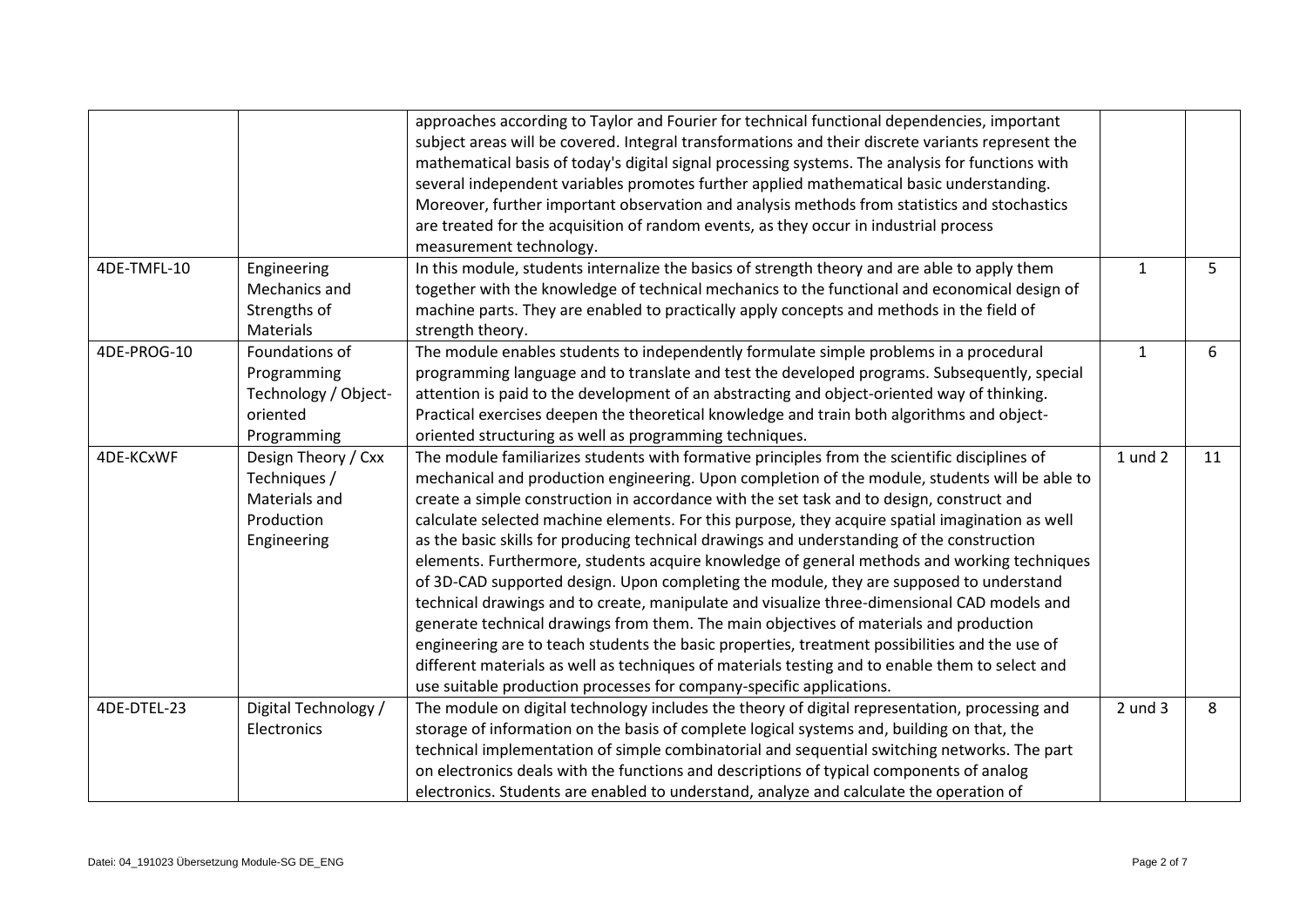|                  |                      | approaches according to Taylor and Fourier for technical functional dependencies, important       |              |    |
|------------------|----------------------|---------------------------------------------------------------------------------------------------|--------------|----|
|                  |                      | subject areas will be covered. Integral transformations and their discrete variants represent the |              |    |
|                  |                      | mathematical basis of today's digital signal processing systems. The analysis for functions with  |              |    |
|                  |                      | several independent variables promotes further applied mathematical basic understanding.          |              |    |
|                  |                      | Moreover, further important observation and analysis methods from statistics and stochastics      |              |    |
|                  |                      | are treated for the acquisition of random events, as they occur in industrial process             |              |    |
|                  |                      | measurement technology.                                                                           |              |    |
| 4DE-TMFL-10      | Engineering          | In this module, students internalize the basics of strength theory and are able to apply them     | $\mathbf{1}$ | 5  |
|                  | Mechanics and        | together with the knowledge of technical mechanics to the functional and economical design of     |              |    |
|                  | Strengths of         | machine parts. They are enabled to practically apply concepts and methods in the field of         |              |    |
|                  | Materials            | strength theory.                                                                                  |              |    |
| 4DE-PROG-10      | Foundations of       | The module enables students to independently formulate simple problems in a procedural            | $\mathbf{1}$ | 6  |
|                  | Programming          | programming language and to translate and test the developed programs. Subsequently, special      |              |    |
|                  | Technology / Object- | attention is paid to the development of an abstracting and object-oriented way of thinking.       |              |    |
|                  | oriented             | Practical exercises deepen the theoretical knowledge and train both algorithms and object-        |              |    |
|                  | Programming          | oriented structuring as well as programming techniques.                                           |              |    |
| <b>4DE-KCxWF</b> | Design Theory / Cxx  | The module familiarizes students with formative principles from the scientific disciplines of     | $1$ und $2$  | 11 |
|                  | Techniques /         | mechanical and production engineering. Upon completion of the module, students will be able to    |              |    |
|                  | Materials and        | create a simple construction in accordance with the set task and to design, construct and         |              |    |
|                  | Production           | calculate selected machine elements. For this purpose, they acquire spatial imagination as well   |              |    |
|                  | Engineering          | as the basic skills for producing technical drawings and understanding of the construction        |              |    |
|                  |                      | elements. Furthermore, students acquire knowledge of general methods and working techniques       |              |    |
|                  |                      | of 3D-CAD supported design. Upon completing the module, they are supposed to understand           |              |    |
|                  |                      | technical drawings and to create, manipulate and visualize three-dimensional CAD models and       |              |    |
|                  |                      | generate technical drawings from them. The main objectives of materials and production            |              |    |
|                  |                      | engineering are to teach students the basic properties, treatment possibilities and the use of    |              |    |
|                  |                      | different materials as well as techniques of materials testing and to enable them to select and   |              |    |
|                  |                      | use suitable production processes for company-specific applications.                              |              |    |
| 4DE-DTEL-23      | Digital Technology / | The module on digital technology includes the theory of digital representation, processing and    | $2$ und $3$  | 8  |
|                  | Electronics          | storage of information on the basis of complete logical systems and, building on that, the        |              |    |
|                  |                      | technical implementation of simple combinatorial and sequential switching networks. The part      |              |    |
|                  |                      | on electronics deals with the functions and descriptions of typical components of analog          |              |    |
|                  |                      | electronics. Students are enabled to understand, analyze and calculate the operation of           |              |    |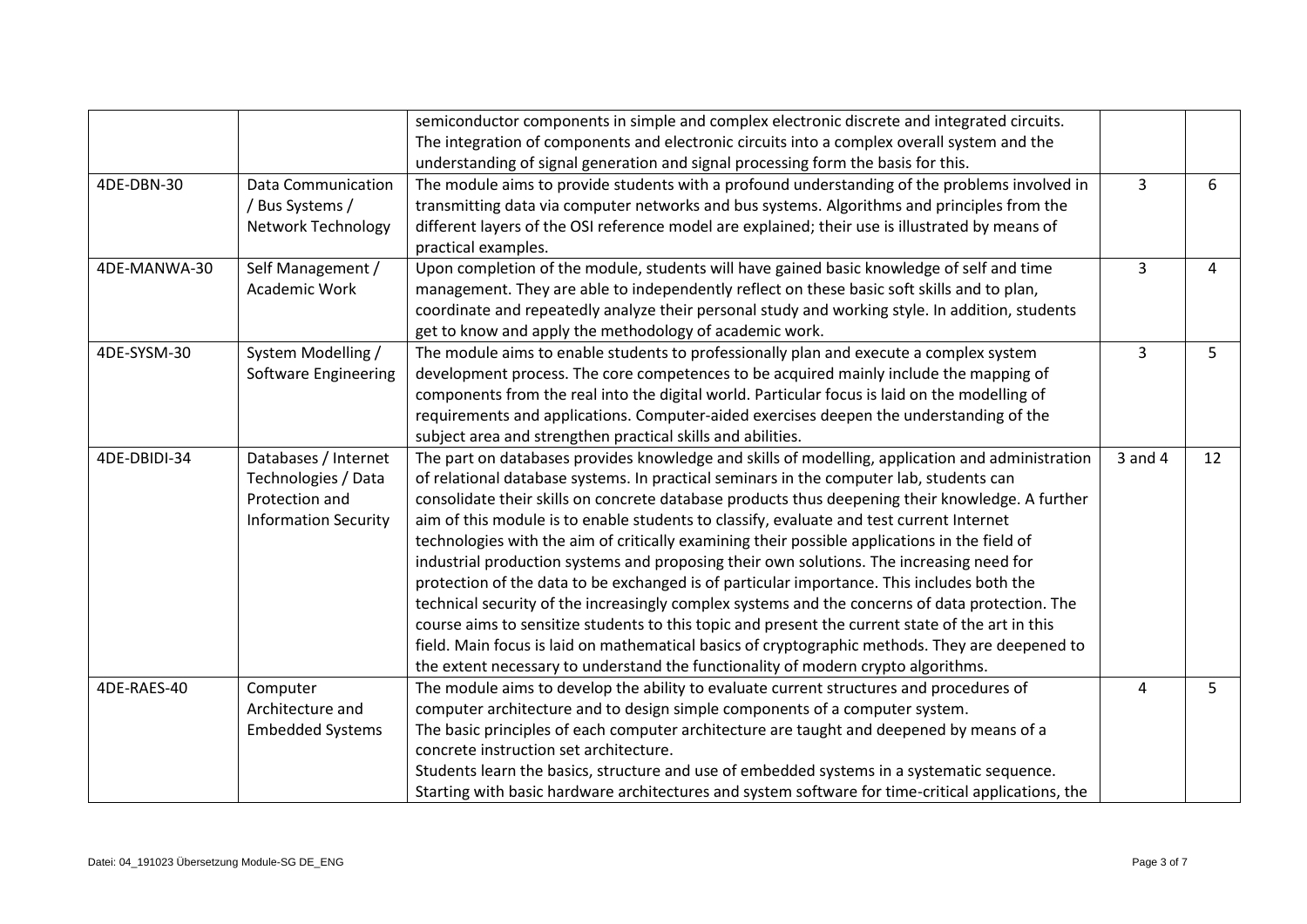|              |                             | semiconductor components in simple and complex electronic discrete and integrated circuits.        |                                           |    |
|--------------|-----------------------------|----------------------------------------------------------------------------------------------------|-------------------------------------------|----|
|              |                             | The integration of components and electronic circuits into a complex overall system and the        |                                           |    |
|              |                             | understanding of signal generation and signal processing form the basis for this.                  |                                           |    |
| 4DE-DBN-30   | <b>Data Communication</b>   | The module aims to provide students with a profound understanding of the problems involved in      | 3                                         | 6  |
|              | / Bus Systems /             | transmitting data via computer networks and bus systems. Algorithms and principles from the        |                                           |    |
|              | <b>Network Technology</b>   | different layers of the OSI reference model are explained; their use is illustrated by means of    |                                           |    |
|              |                             | practical examples.                                                                                |                                           |    |
| 4DE-MANWA-30 | Self Management /           | Upon completion of the module, students will have gained basic knowledge of self and time          | 3<br>4<br>3<br>5<br>$3$ and $4$<br>5<br>4 |    |
|              | Academic Work               | management. They are able to independently reflect on these basic soft skills and to plan,         |                                           |    |
|              |                             | coordinate and repeatedly analyze their personal study and working style. In addition, students    |                                           |    |
|              |                             | get to know and apply the methodology of academic work.                                            |                                           |    |
| 4DE-SYSM-30  | System Modelling /          | The module aims to enable students to professionally plan and execute a complex system             |                                           |    |
| 4DE-DBIDI-34 | Software Engineering        | development process. The core competences to be acquired mainly include the mapping of             |                                           |    |
|              |                             | components from the real into the digital world. Particular focus is laid on the modelling of      |                                           |    |
|              |                             | requirements and applications. Computer-aided exercises deepen the understanding of the            |                                           |    |
|              |                             | subject area and strengthen practical skills and abilities.                                        |                                           |    |
|              | Databases / Internet        | The part on databases provides knowledge and skills of modelling, application and administration   |                                           | 12 |
|              | Technologies / Data         | of relational database systems. In practical seminars in the computer lab, students can            |                                           |    |
|              | Protection and              | consolidate their skills on concrete database products thus deepening their knowledge. A further   |                                           |    |
|              | <b>Information Security</b> | aim of this module is to enable students to classify, evaluate and test current Internet           |                                           |    |
|              |                             | technologies with the aim of critically examining their possible applications in the field of      |                                           |    |
|              |                             | industrial production systems and proposing their own solutions. The increasing need for           |                                           |    |
|              |                             | protection of the data to be exchanged is of particular importance. This includes both the         |                                           |    |
|              |                             | technical security of the increasingly complex systems and the concerns of data protection. The    |                                           |    |
|              |                             | course aims to sensitize students to this topic and present the current state of the art in this   |                                           |    |
|              |                             | field. Main focus is laid on mathematical basics of cryptographic methods. They are deepened to    |                                           |    |
|              |                             | the extent necessary to understand the functionality of modern crypto algorithms.                  |                                           |    |
| 4DE-RAES-40  | Computer                    | The module aims to develop the ability to evaluate current structures and procedures of            |                                           |    |
|              | Architecture and            | computer architecture and to design simple components of a computer system.                        |                                           |    |
|              | <b>Embedded Systems</b>     | The basic principles of each computer architecture are taught and deepened by means of a           |                                           |    |
|              |                             | concrete instruction set architecture.                                                             |                                           |    |
|              |                             | Students learn the basics, structure and use of embedded systems in a systematic sequence.         |                                           |    |
|              |                             | Starting with basic hardware architectures and system software for time-critical applications, the |                                           |    |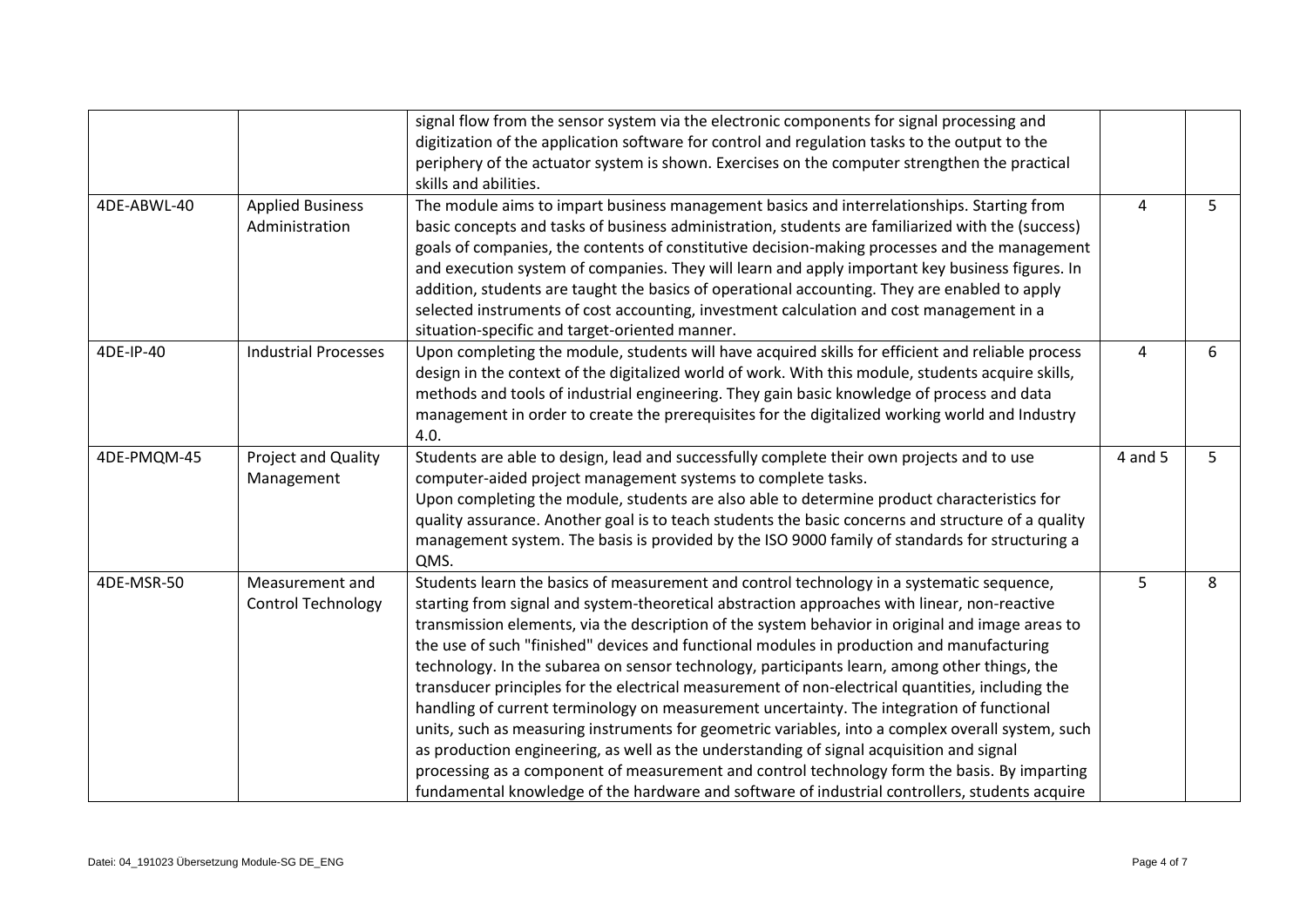|             |                                              | signal flow from the sensor system via the electronic components for signal processing and<br>digitization of the application software for control and regulation tasks to the output to the<br>periphery of the actuator system is shown. Exercises on the computer strengthen the practical<br>skills and abilities.                                                                                                                                                                                                                                                                                                                                                                                                                                                                                                                                                                                                                                                                                                                                                                         |         |   |
|-------------|----------------------------------------------|------------------------------------------------------------------------------------------------------------------------------------------------------------------------------------------------------------------------------------------------------------------------------------------------------------------------------------------------------------------------------------------------------------------------------------------------------------------------------------------------------------------------------------------------------------------------------------------------------------------------------------------------------------------------------------------------------------------------------------------------------------------------------------------------------------------------------------------------------------------------------------------------------------------------------------------------------------------------------------------------------------------------------------------------------------------------------------------------|---------|---|
| 4DE-ABWL-40 | <b>Applied Business</b><br>Administration    | The module aims to impart business management basics and interrelationships. Starting from<br>basic concepts and tasks of business administration, students are familiarized with the (success)<br>goals of companies, the contents of constitutive decision-making processes and the management<br>and execution system of companies. They will learn and apply important key business figures. In<br>addition, students are taught the basics of operational accounting. They are enabled to apply<br>selected instruments of cost accounting, investment calculation and cost management in a<br>situation-specific and target-oriented manner.                                                                                                                                                                                                                                                                                                                                                                                                                                             | 4       | 5 |
| 4DE-IP-40   | <b>Industrial Processes</b>                  | Upon completing the module, students will have acquired skills for efficient and reliable process<br>design in the context of the digitalized world of work. With this module, students acquire skills,<br>methods and tools of industrial engineering. They gain basic knowledge of process and data<br>management in order to create the prerequisites for the digitalized working world and Industry<br>4.0.                                                                                                                                                                                                                                                                                                                                                                                                                                                                                                                                                                                                                                                                                | 4       | 6 |
| 4DE-PMQM-45 | <b>Project and Quality</b><br>Management     | Students are able to design, lead and successfully complete their own projects and to use<br>computer-aided project management systems to complete tasks.<br>Upon completing the module, students are also able to determine product characteristics for<br>quality assurance. Another goal is to teach students the basic concerns and structure of a quality<br>management system. The basis is provided by the ISO 9000 family of standards for structuring a<br>QMS.                                                                                                                                                                                                                                                                                                                                                                                                                                                                                                                                                                                                                       | 4 and 5 | 5 |
| 4DE-MSR-50  | Measurement and<br><b>Control Technology</b> | Students learn the basics of measurement and control technology in a systematic sequence,<br>starting from signal and system-theoretical abstraction approaches with linear, non-reactive<br>transmission elements, via the description of the system behavior in original and image areas to<br>the use of such "finished" devices and functional modules in production and manufacturing<br>technology. In the subarea on sensor technology, participants learn, among other things, the<br>transducer principles for the electrical measurement of non-electrical quantities, including the<br>handling of current terminology on measurement uncertainty. The integration of functional<br>units, such as measuring instruments for geometric variables, into a complex overall system, such<br>as production engineering, as well as the understanding of signal acquisition and signal<br>processing as a component of measurement and control technology form the basis. By imparting<br>fundamental knowledge of the hardware and software of industrial controllers, students acquire | 5       | 8 |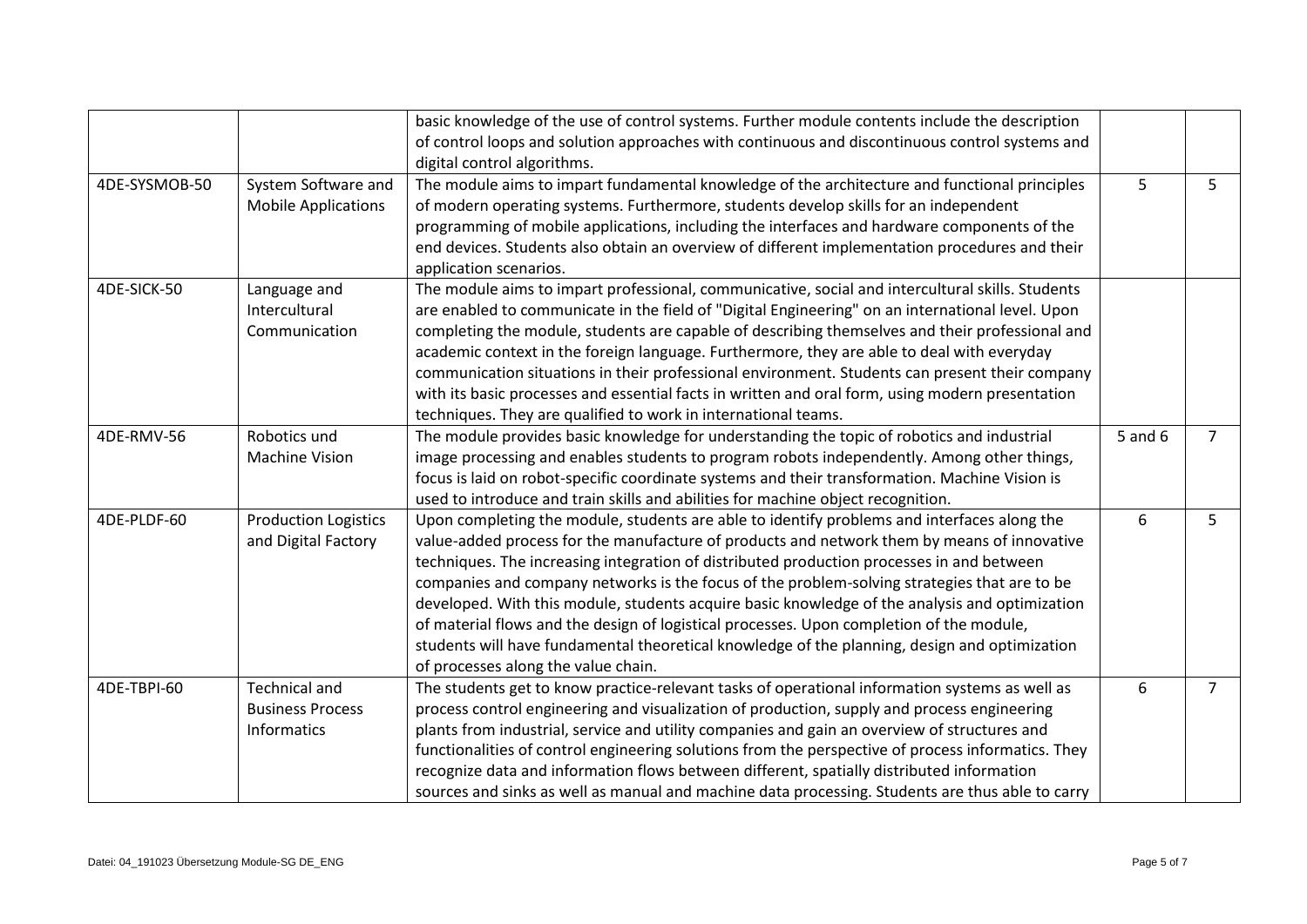|               |                                                                | basic knowledge of the use of control systems. Further module contents include the description<br>of control loops and solution approaches with continuous and discontinuous control systems and<br>digital control algorithms.                                                                                                                                                                                                                                                                                                                                                                                                                                                                                               |         |                |
|---------------|----------------------------------------------------------------|-------------------------------------------------------------------------------------------------------------------------------------------------------------------------------------------------------------------------------------------------------------------------------------------------------------------------------------------------------------------------------------------------------------------------------------------------------------------------------------------------------------------------------------------------------------------------------------------------------------------------------------------------------------------------------------------------------------------------------|---------|----------------|
| 4DE-SYSMOB-50 | System Software and<br><b>Mobile Applications</b>              | The module aims to impart fundamental knowledge of the architecture and functional principles<br>of modern operating systems. Furthermore, students develop skills for an independent<br>programming of mobile applications, including the interfaces and hardware components of the<br>end devices. Students also obtain an overview of different implementation procedures and their<br>application scenarios.                                                                                                                                                                                                                                                                                                              | 5       | 5              |
| 4DE-SICK-50   | Language and<br>Intercultural<br>Communication                 | The module aims to impart professional, communicative, social and intercultural skills. Students<br>are enabled to communicate in the field of "Digital Engineering" on an international level. Upon<br>completing the module, students are capable of describing themselves and their professional and<br>academic context in the foreign language. Furthermore, they are able to deal with everyday<br>communication situations in their professional environment. Students can present their company<br>with its basic processes and essential facts in written and oral form, using modern presentation<br>techniques. They are qualified to work in international teams.                                                 |         |                |
| 4DE-RMV-56    | Robotics und<br><b>Machine Vision</b>                          | The module provides basic knowledge for understanding the topic of robotics and industrial<br>image processing and enables students to program robots independently. Among other things,<br>focus is laid on robot-specific coordinate systems and their transformation. Machine Vision is<br>used to introduce and train skills and abilities for machine object recognition.                                                                                                                                                                                                                                                                                                                                                | 5 and 6 | $\overline{7}$ |
| 4DE-PLDF-60   | <b>Production Logistics</b><br>and Digital Factory             | Upon completing the module, students are able to identify problems and interfaces along the<br>value-added process for the manufacture of products and network them by means of innovative<br>techniques. The increasing integration of distributed production processes in and between<br>companies and company networks is the focus of the problem-solving strategies that are to be<br>developed. With this module, students acquire basic knowledge of the analysis and optimization<br>of material flows and the design of logistical processes. Upon completion of the module,<br>students will have fundamental theoretical knowledge of the planning, design and optimization<br>of processes along the value chain. | 6       | 5              |
| 4DE-TBPI-60   | <b>Technical and</b><br><b>Business Process</b><br>Informatics | The students get to know practice-relevant tasks of operational information systems as well as<br>process control engineering and visualization of production, supply and process engineering<br>plants from industrial, service and utility companies and gain an overview of structures and<br>functionalities of control engineering solutions from the perspective of process informatics. They<br>recognize data and information flows between different, spatially distributed information<br>sources and sinks as well as manual and machine data processing. Students are thus able to carry                                                                                                                          | 6       | $\overline{7}$ |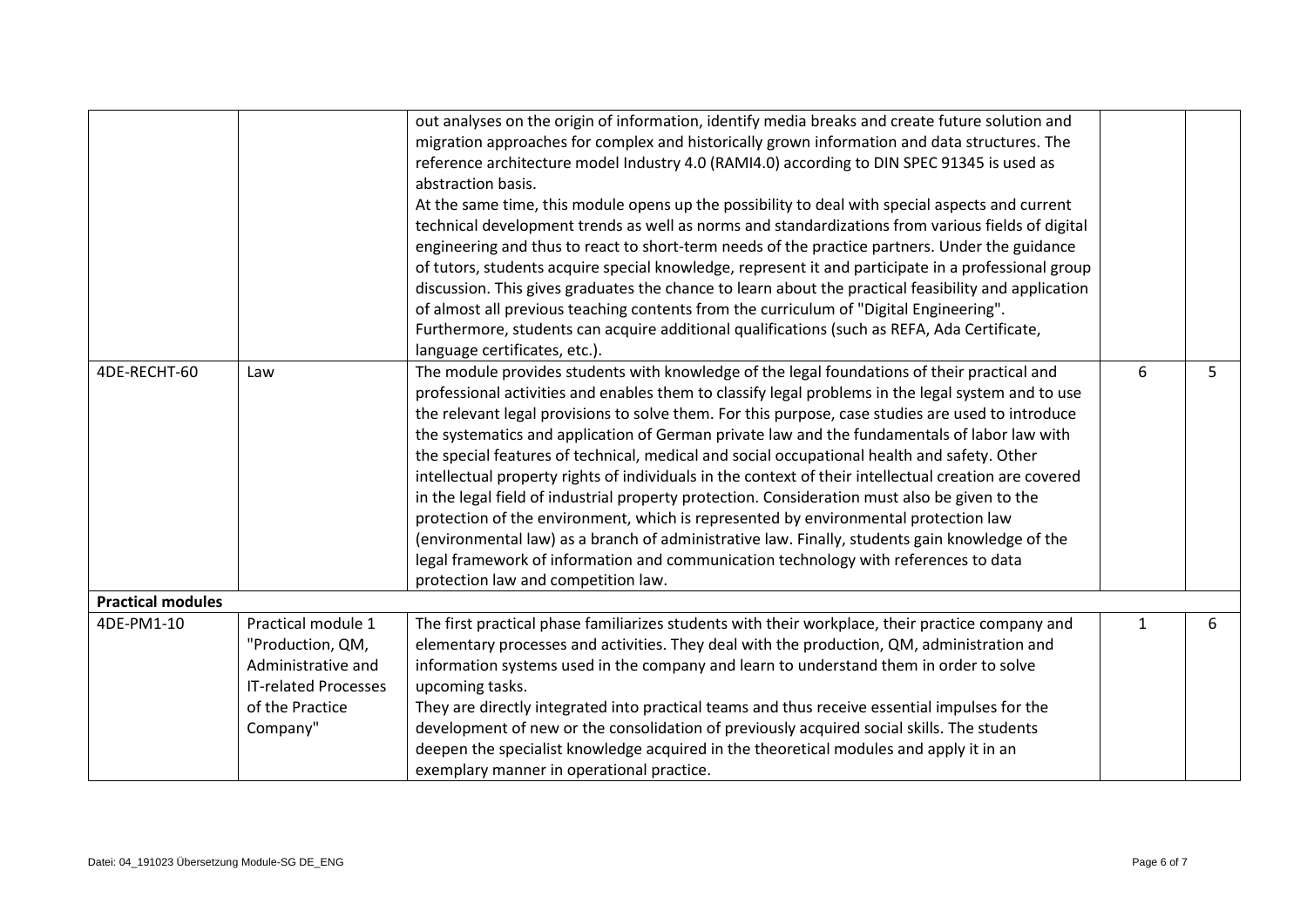|                          |                             | out analyses on the origin of information, identify media breaks and create future solution and       |   |   |
|--------------------------|-----------------------------|-------------------------------------------------------------------------------------------------------|---|---|
|                          |                             | migration approaches for complex and historically grown information and data structures. The          |   |   |
|                          |                             | reference architecture model Industry 4.0 (RAMI4.0) according to DIN SPEC 91345 is used as            |   |   |
|                          |                             | abstraction basis.                                                                                    |   |   |
|                          |                             | At the same time, this module opens up the possibility to deal with special aspects and current       |   |   |
|                          |                             | technical development trends as well as norms and standardizations from various fields of digital     |   |   |
|                          |                             | engineering and thus to react to short-term needs of the practice partners. Under the guidance        |   |   |
|                          |                             | of tutors, students acquire special knowledge, represent it and participate in a professional group   |   |   |
|                          |                             | discussion. This gives graduates the chance to learn about the practical feasibility and application  |   |   |
|                          |                             | of almost all previous teaching contents from the curriculum of "Digital Engineering".                |   |   |
|                          |                             | Furthermore, students can acquire additional qualifications (such as REFA, Ada Certificate,           |   |   |
|                          |                             | language certificates, etc.).                                                                         |   |   |
| 4DE-RECHT-60             | Law                         | The module provides students with knowledge of the legal foundations of their practical and           | 6 | 5 |
|                          |                             | professional activities and enables them to classify legal problems in the legal system and to use    |   |   |
|                          |                             | the relevant legal provisions to solve them. For this purpose, case studies are used to introduce     |   |   |
|                          |                             | the systematics and application of German private law and the fundamentals of labor law with          |   |   |
|                          |                             | the special features of technical, medical and social occupational health and safety. Other           |   |   |
|                          |                             | intellectual property rights of individuals in the context of their intellectual creation are covered |   |   |
|                          |                             | in the legal field of industrial property protection. Consideration must also be given to the         |   |   |
|                          |                             | protection of the environment, which is represented by environmental protection law                   |   |   |
|                          |                             | (environmental law) as a branch of administrative law. Finally, students gain knowledge of the        |   |   |
|                          |                             | legal framework of information and communication technology with references to data                   |   |   |
|                          |                             | protection law and competition law.                                                                   |   |   |
| <b>Practical modules</b> |                             |                                                                                                       |   |   |
| 4DE-PM1-10               | Practical module 1          | The first practical phase familiarizes students with their workplace, their practice company and      | 1 | 6 |
|                          | "Production, QM,            | elementary processes and activities. They deal with the production, QM, administration and            |   |   |
|                          | Administrative and          | information systems used in the company and learn to understand them in order to solve                |   |   |
|                          | <b>IT-related Processes</b> | upcoming tasks.                                                                                       |   |   |
|                          | of the Practice             | They are directly integrated into practical teams and thus receive essential impulses for the         |   |   |
|                          | Company"                    | development of new or the consolidation of previously acquired social skills. The students            |   |   |
|                          |                             | deepen the specialist knowledge acquired in the theoretical modules and apply it in an                |   |   |
|                          |                             | exemplary manner in operational practice.                                                             |   |   |
|                          |                             |                                                                                                       |   |   |